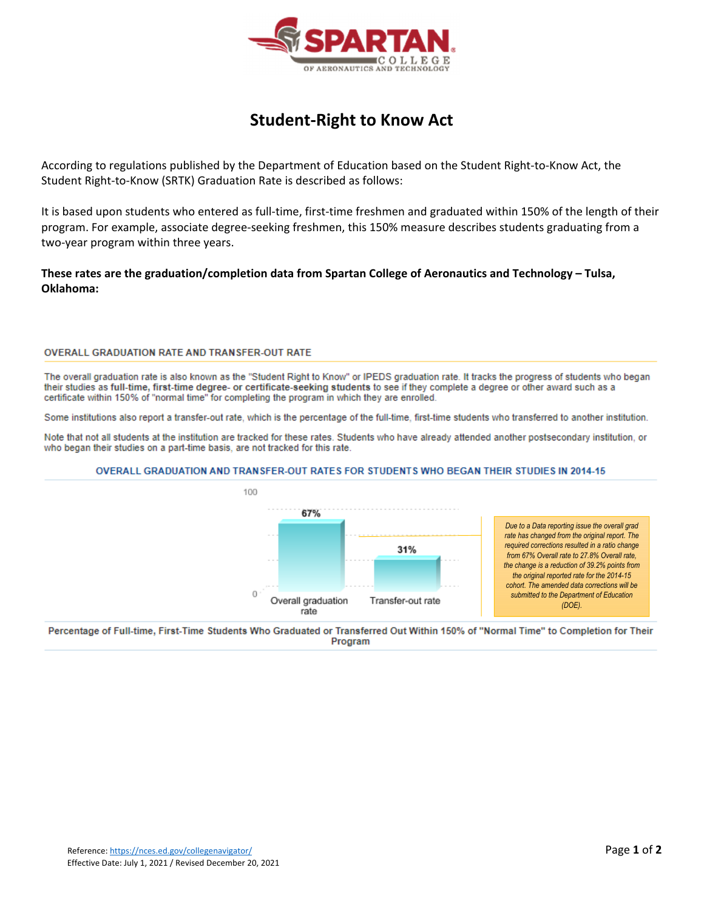

# **Student‐Right to Know Act**

According to regulations published by the Department of Education based on the Student Right‐to‐Know Act, the Student Right‐to‐Know (SRTK) Graduation Rate is described as follows:

It is based upon students who entered as full-time, first-time freshmen and graduated within 150% of the length of their program. For example, associate degree‐seeking freshmen, this 150% measure describes students graduating from a two‐year program within three years.

**These rates are the graduation/completion data from Spartan College of Aeronautics and Technology – Tulsa, Oklahoma:**

## **OVERALL GRADUATION RATE AND TRANSFER-OUT RATE**

The overall graduation rate is also known as the "Student Right to Know" or IPEDS graduation rate. It tracks the progress of students who began their studies as full-time, first-time degree- or certificate-seeking students to see if they complete a degree or other award such as a certificate within 150% of "normal time" for completing the program in which they are enrolled.

Some institutions also report a transfer-out rate, which is the percentage of the full-time, first-time students who transferred to another institution.

Note that not all students at the institution are tracked for these rates. Students who have already attended another postsecondary institution, or who began their studies on a part-time basis, are not tracked for this rate.

### OVERALL GRADUATION AND TRANSFER-OUT RATES FOR STUDENTS WHO BEGAN THEIR STUDIES IN 2014-15



Percentage of Full-time, First-Time Students Who Graduated or Transferred Out Within 150% of "Normal Time" to Completion for Their Program